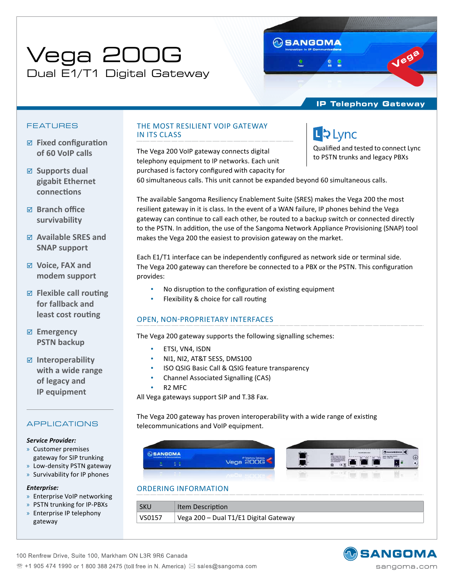# Vega 200G Dual E1/T1 Digital Gateway

# **IP Telephony Gateway**

Qualified and tested to connect Lync to PSTN trunks and legacy PBXs

L & Lync

# FEATURES

- ; **Fixed configuration of 60 VoIP calls**
- ; **Supports dual gigabit Ethernet connections**
- ; **Branch office survivability**
- ; **Available SRES and SNAP support**
- ; **Voice, FAX and modem support**
- ; **Flexible call routing for fallback and least cost routing**
- ; **Emergency PSTN backup**
- ; **Interoperability with a wide range of legacy and IP equipment**

# APPLICATIONS

## *Service Provider:*

- x Customer premises gateway for SIP trunking
- x Low-density PSTN gateway
- x Survivability for IP phones

### *Enterprise:*

- x Enterprise VoIP networking
- x PSTN trunking for IP-PBXs
- » Enterprise IP telephony gateway

# THE MOST RESILIENT VOIP GATEWAY IN ITS CLASS

The Vega 200 VoIP gateway connects digital telephony equipment to IP networks. Each unit purchased is factory configured with capacity for

60 simultaneous calls. This unit cannot be expanded beyond 60 simultaneous calls.

**M**SANGOMA

The available Sangoma Resiliency Enablement Suite (SRES) makes the Vega 200 the most resilient gateway in it is class. In the event of a WAN failure, IP phones behind the Vega gateway can continue to call each other, be routed to a backup switch or connected directly to the PSTN. In addition, the use of the Sangoma Network Appliance Provisioning (SNAP) tool makes the Vega 200 the easiest to provision gateway on the market.

Each E1/T1 interface can be independently configured as network side or terminal side. The Vega 200 gateway can therefore be connected to a PBX or the PSTN. This configuration provides:

- No disruption to the configuration of existing equipment
- Flexibility & choice for call routing

# OPEN, NON-PROPRIETARY INTERFACES

The Vega 200 gateway supports the following signalling schemes:

- • ETSI, VN4, ISDN
- NI1, NI2, AT&T 5ESS, DMS100
- ISO QSIG Basic Call & QSIG feature transparency
- Channel Associated Signalling (CAS)
- R<sub>2</sub> M<sub>FC</sub>

All Vega gateways support SIP and T.38 Fax.

The Vega 200 gateway has proven interoperability with a wide range of existing telecommunications and VoIP equipment.



| SKU    | Item Description                      |
|--------|---------------------------------------|
| VS0157 | Vega 200 - Dual T1/E1 Digital Gateway |